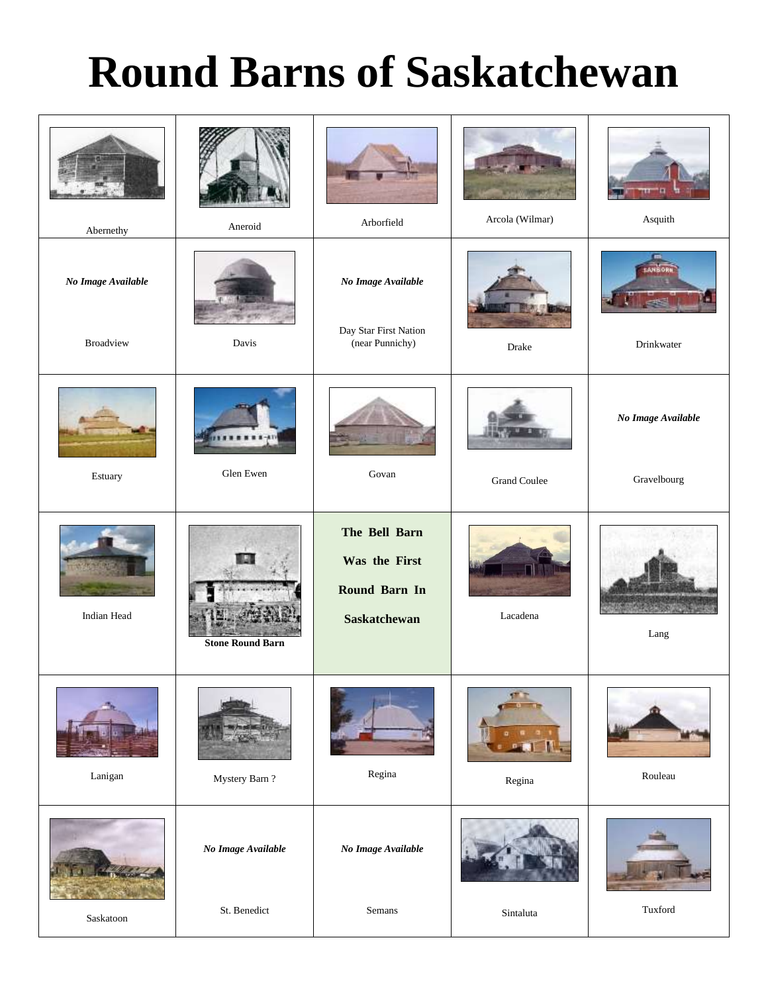# **Round Barns of Saskatchewan**

| Abernethy                              | Aneroid                            | Arborfield                                                             | Arcola (Wilmar)     | Asquith                           |
|----------------------------------------|------------------------------------|------------------------------------------------------------------------|---------------------|-----------------------------------|
| No Image Available<br><b>Broadview</b> | Davis                              | No Image Available<br>Day Star First Nation<br>(near Punnichy)         | Drake               | Drinkwater                        |
| Estuary                                | Glen Ewen                          | Govan                                                                  | <b>Grand Coulee</b> | No Image Available<br>Gravelbourg |
| Indian Head                            | <b>Stone Round Barn</b>            | The Bell Barn<br>Was the First<br>Round Barn In<br><b>Saskatchewan</b> | Lacadena            | Lang                              |
| Lanigan                                | Mystery Barn?                      | Regina                                                                 | Regina              | Rouleau                           |
| Saskatoon                              | No Image Available<br>St. Benedict | No Image Available<br>Semans                                           | Sintaluta           | Tuxford                           |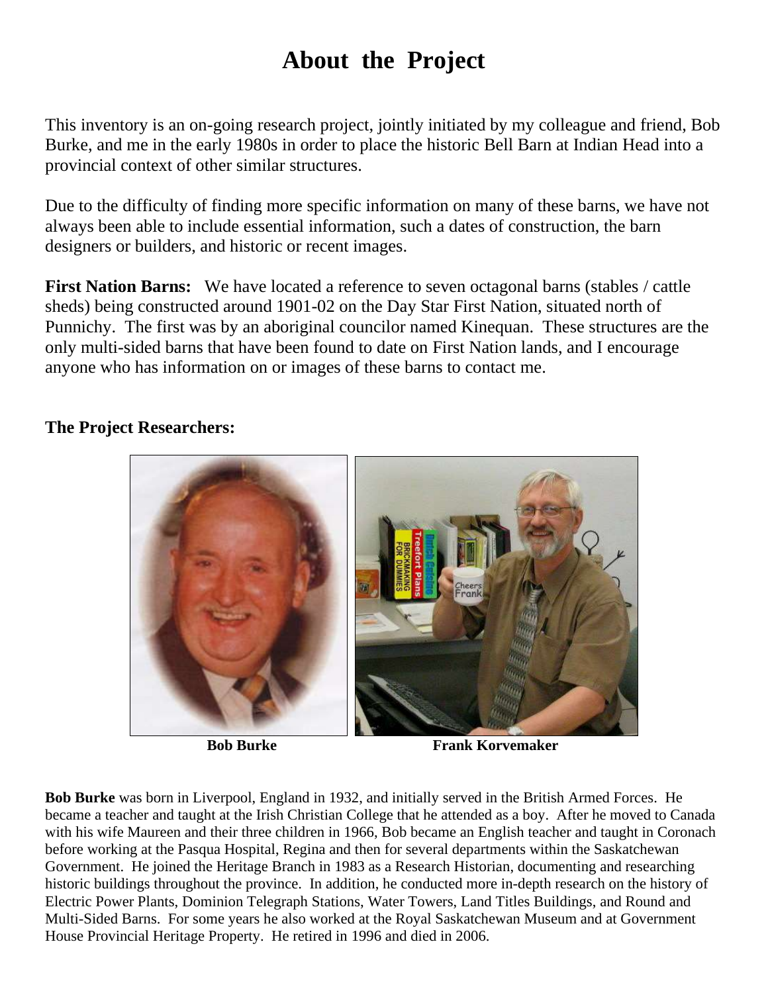## **About the Project**

This inventory is an on-going research project, jointly initiated by my colleague and friend, Bob Burke, and me in the early 1980s in order to place the historic Bell Barn at Indian Head into a provincial context of other similar structures.

Due to the difficulty of finding more specific information on many of these barns, we have not always been able to include essential information, such a dates of construction, the barn designers or builders, and historic or recent images.

**First Nation Barns:** We have located a reference to seven octagonal barns (stables / cattle sheds) being constructed around 1901-02 on the Day Star First Nation, situated north of Punnichy. The first was by an aboriginal councilor named Kinequan. These structures are the only multi-sided barns that have been found to date on First Nation lands, and I encourage anyone who has information on or images of these barns to contact me.



### **The Project Researchers:**

**Bob Burke Frank Korvemaker** 

**Bob Burke** was born in Liverpool, England in 1932, and initially served in the British Armed Forces. He became a teacher and taught at the Irish Christian College that he attended as a boy. After he moved to Canada with his wife Maureen and their three children in 1966, Bob became an English teacher and taught in Coronach before working at the Pasqua Hospital, Regina and then for several departments within the Saskatchewan Government. He joined the Heritage Branch in 1983 as a Research Historian, documenting and researching historic buildings throughout the province. In addition, he conducted more in-depth research on the history of Electric Power Plants, Dominion Telegraph Stations, Water Towers, Land Titles Buildings, and Round and Multi-Sided Barns. For some years he also worked at the Royal Saskatchewan Museum and at Government House Provincial Heritage Property. He retired in 1996 and died in 2006.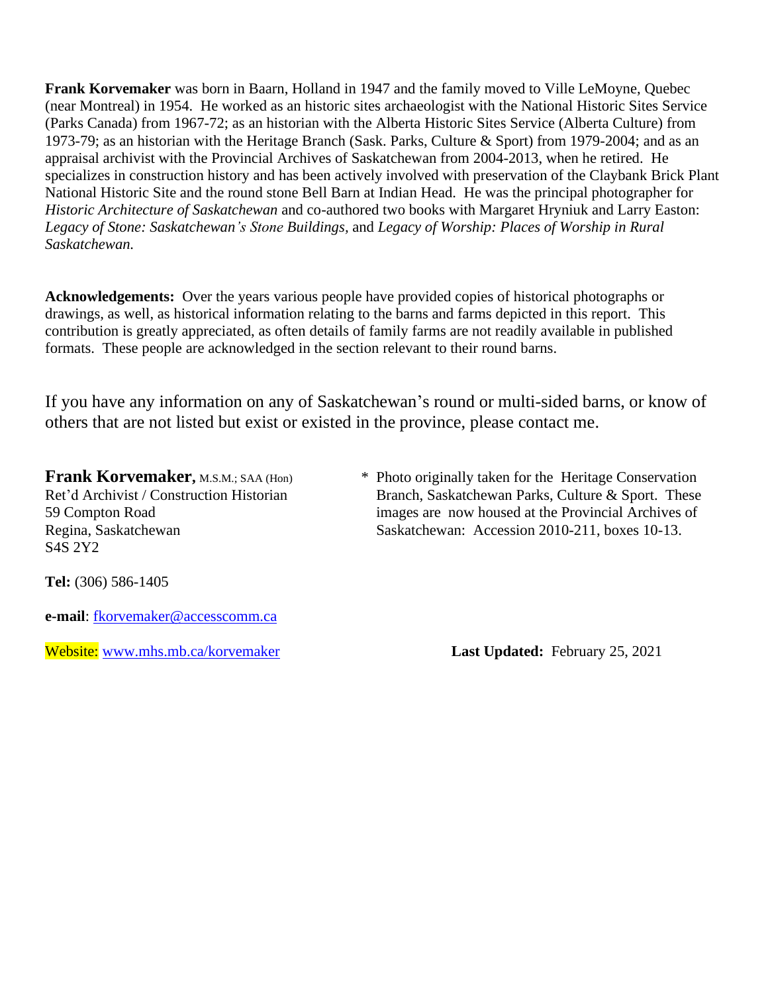**Frank Korvemaker** was born in Baarn, Holland in 1947 and the family moved to Ville LeMoyne, Quebec (near Montreal) in 1954. He worked as an historic sites archaeologist with the National Historic Sites Service (Parks Canada) from 1967-72; as an historian with the Alberta Historic Sites Service (Alberta Culture) from 1973-79; as an historian with the Heritage Branch (Sask. Parks, Culture & Sport) from 1979-2004; and as an appraisal archivist with the Provincial Archives of Saskatchewan from 2004-2013, when he retired. He specializes in construction history and has been actively involved with preservation of the Claybank Brick Plant National Historic Site and the round stone Bell Barn at Indian Head. He was the principal photographer for *Historic Architecture of Saskatchewan* and co-authored two books with Margaret Hryniuk and Larry Easton: *Legacy of Stone: Saskatchewan's Stone Buildings,* and *Legacy of Worship: Places of Worship in Rural Saskatchewan.*

**Acknowledgements:** Over the years various people have provided copies of historical photographs or drawings, as well, as historical information relating to the barns and farms depicted in this report. This contribution is greatly appreciated, as often details of family farms are not readily available in published formats. These people are acknowledged in the section relevant to their round barns.

If you have any information on any of Saskatchewan's round or multi-sided barns, or know of others that are not listed but exist or existed in the province, please contact me.

S4S 2Y2

**Frank Korvemaker**, M.S.M.; SAA (Hon) \* Photo originally taken for the Heritage Conservation Ret'd Archivist / Construction Historian Branch, Saskatchewan Parks, Culture & Sport. These 59 Compton Road images are now housed at the Provincial Archives of Regina, Saskatchewan Saskatchewan: Accession 2010-211, boxes 10-13.

**Tel:** (306) 586-1405

**e-mail**: [fkorvemaker@accesscomm.ca](mailto:fkorvemaker@accesscomm.ca)

Website: [www.mhs.mb.ca/korvemaker](http://www.mhs.mb.ca/korvemaker) **Last Updated:** February 25, 2021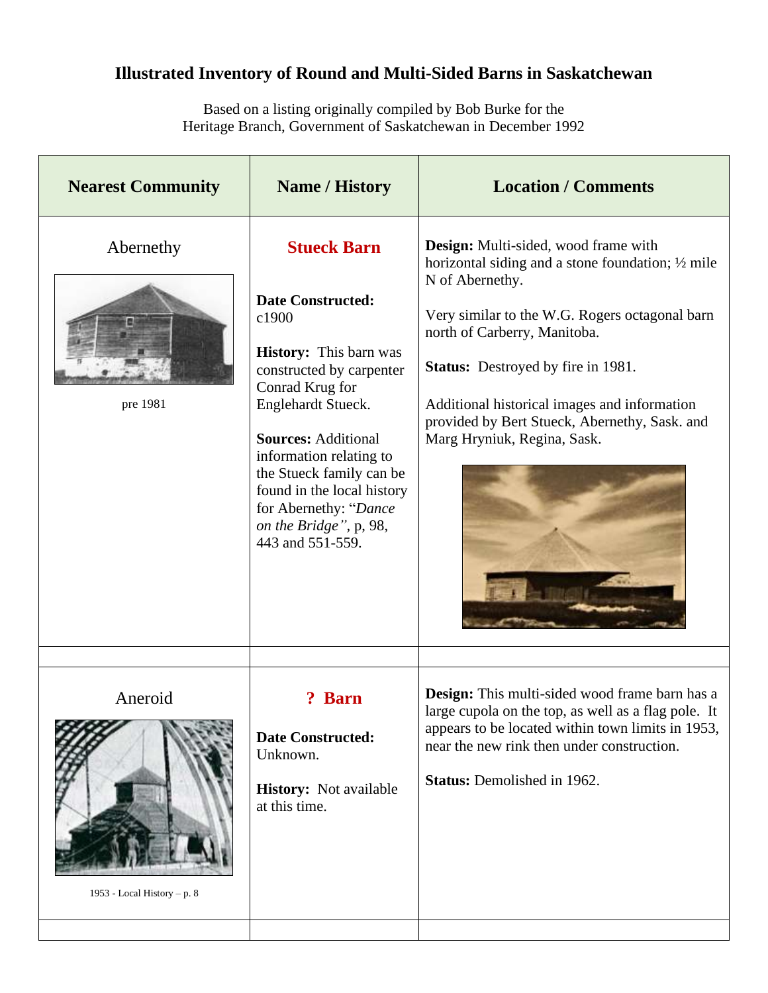### **Illustrated Inventory of Round and Multi-Sided Barns in Saskatchewan**

Based on a listing originally compiled by Bob Burke for the Heritage Branch, Government of Saskatchewan in December 1992

| <b>Nearest Community</b>               | <b>Name / History</b>                                                                                                                                                                                                                                                                                                                                   | <b>Location / Comments</b>                                                                                                                                                                                                                                                                                                                                                      |
|----------------------------------------|---------------------------------------------------------------------------------------------------------------------------------------------------------------------------------------------------------------------------------------------------------------------------------------------------------------------------------------------------------|---------------------------------------------------------------------------------------------------------------------------------------------------------------------------------------------------------------------------------------------------------------------------------------------------------------------------------------------------------------------------------|
| Abernethy<br>pre 1981                  | <b>Stueck Barn</b><br><b>Date Constructed:</b><br>c1900<br><b>History:</b> This barn was<br>constructed by carpenter<br>Conrad Krug for<br>Englehardt Stueck.<br><b>Sources: Additional</b><br>information relating to<br>the Stueck family can be<br>found in the local history<br>for Abernethy: "Dance<br>on the Bridge", p, 98,<br>443 and 551-559. | Design: Multi-sided, wood frame with<br>horizontal siding and a stone foundation; $\frac{1}{2}$ mile<br>N of Abernethy.<br>Very similar to the W.G. Rogers octagonal barn<br>north of Carberry, Manitoba.<br>Status: Destroyed by fire in 1981.<br>Additional historical images and information<br>provided by Bert Stueck, Abernethy, Sask. and<br>Marg Hryniuk, Regina, Sask. |
| Aneroid<br>1953 - Local History – p. 8 | <b>Barn</b><br><b>Date Constructed:</b><br>Unknown.<br><b>History:</b> Not available<br>at this time.                                                                                                                                                                                                                                                   | <b>Design:</b> This multi-sided wood frame barn has a<br>large cupola on the top, as well as a flag pole. It<br>appears to be located within town limits in 1953,<br>near the new rink then under construction.<br><b>Status:</b> Demolished in 1962.                                                                                                                           |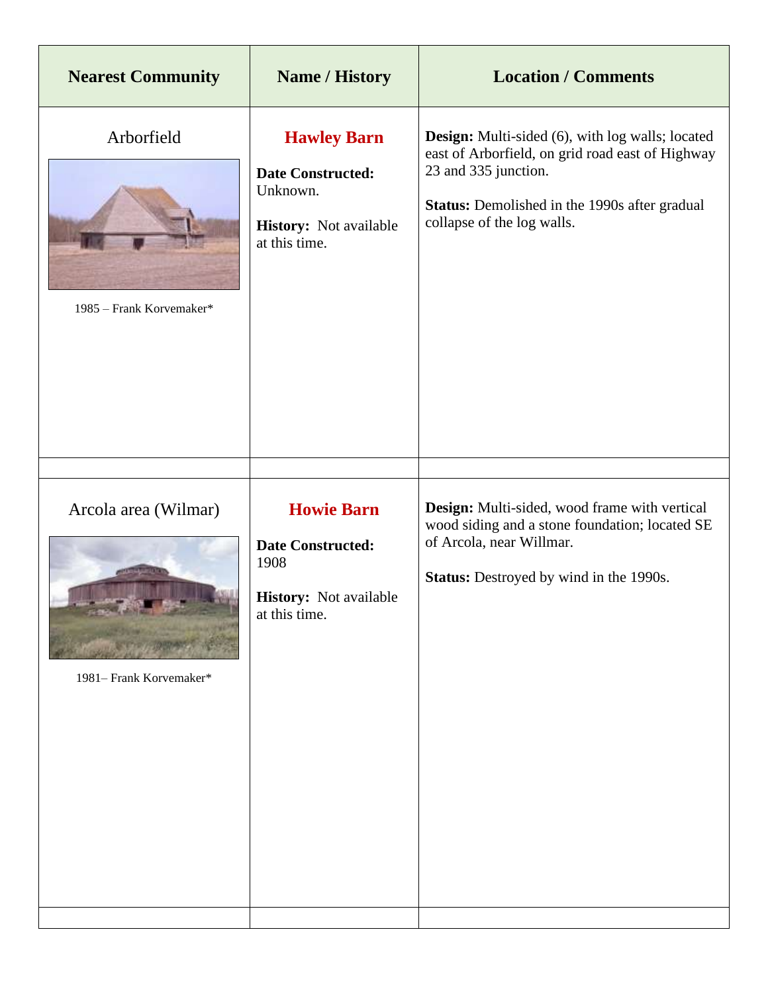| <b>Nearest Community</b>                        | <b>Name / History</b>                                                                                        | <b>Location / Comments</b>                                                                                                                                                                                                |
|-------------------------------------------------|--------------------------------------------------------------------------------------------------------------|---------------------------------------------------------------------------------------------------------------------------------------------------------------------------------------------------------------------------|
| Arborfield<br>1985 - Frank Korvemaker*          | <b>Hawley Barn</b><br><b>Date Constructed:</b><br>Unknown.<br><b>History:</b> Not available<br>at this time. | <b>Design:</b> Multi-sided (6), with log walls; located<br>east of Arborfield, on grid road east of Highway<br>23 and 335 junction.<br><b>Status:</b> Demolished in the 1990s after gradual<br>collapse of the log walls. |
| Arcola area (Wilmar)<br>1981– Frank Korvemaker* | <b>Howie Barn</b><br><b>Date Constructed:</b><br>1908<br>History: Not available<br>at this time.             | Design: Multi-sided, wood frame with vertical<br>wood siding and a stone foundation; located SE<br>of Arcola, near Willmar.<br><b>Status:</b> Destroyed by wind in the 1990s.                                             |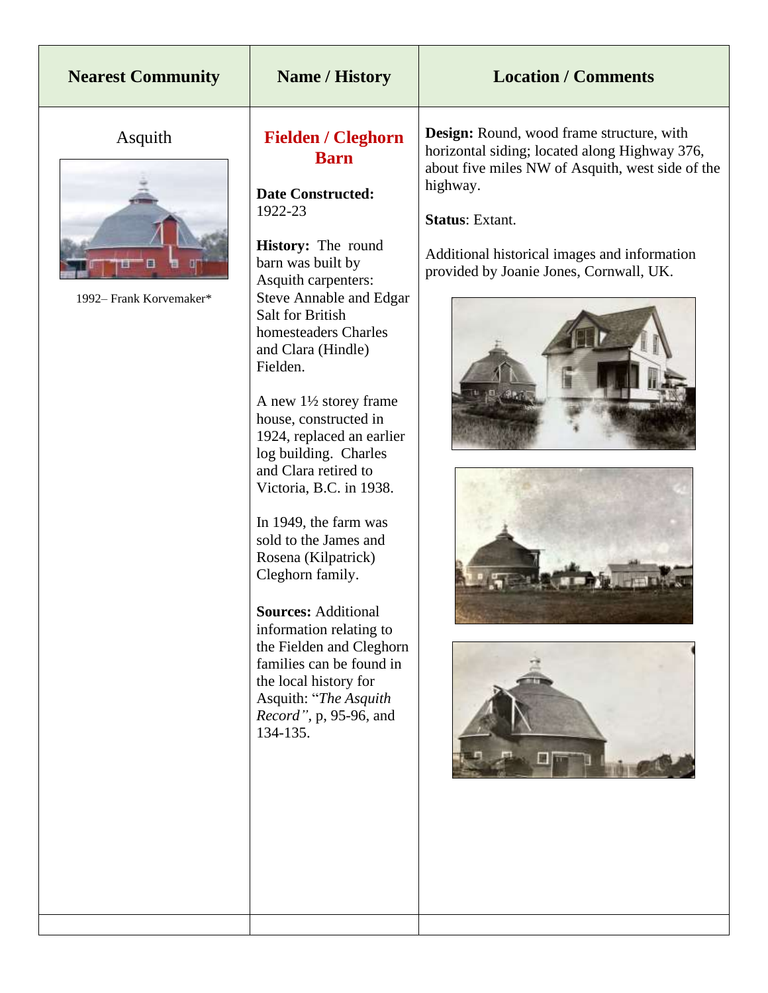| <b>Nearest Community</b>           | <b>Name / History</b>                                                                                                                                                                                                                                                                                                                                                                                                                                                                                                                                                                                                                                                                                                                                 | <b>Location / Comments</b>                                                                                                                                                                                                                                                      |
|------------------------------------|-------------------------------------------------------------------------------------------------------------------------------------------------------------------------------------------------------------------------------------------------------------------------------------------------------------------------------------------------------------------------------------------------------------------------------------------------------------------------------------------------------------------------------------------------------------------------------------------------------------------------------------------------------------------------------------------------------------------------------------------------------|---------------------------------------------------------------------------------------------------------------------------------------------------------------------------------------------------------------------------------------------------------------------------------|
| Asquith<br>1992– Frank Korvemaker* | <b>Fielden / Cleghorn</b><br><b>Barn</b><br><b>Date Constructed:</b><br>1922-23<br>History: The round<br>barn was built by<br>Asquith carpenters:<br><b>Steve Annable and Edgar</b><br><b>Salt for British</b><br>homesteaders Charles<br>and Clara (Hindle)<br>Fielden.<br>A new $1\frac{1}{2}$ storey frame<br>house, constructed in<br>1924, replaced an earlier<br>log building. Charles<br>and Clara retired to<br>Victoria, B.C. in 1938.<br>In 1949, the farm was<br>sold to the James and<br>Rosena (Kilpatrick)<br>Cleghorn family.<br><b>Sources: Additional</b><br>information relating to<br>the Fielden and Cleghorn<br>families can be found in<br>the local history for<br>Asquith: "The Asquith<br>Record", p, 95-96, and<br>134-135. | Design: Round, wood frame structure, with<br>horizontal siding; located along Highway 376,<br>about five miles NW of Asquith, west side of the<br>highway.<br><b>Status: Extant.</b><br>Additional historical images and information<br>provided by Joanie Jones, Cornwall, UK. |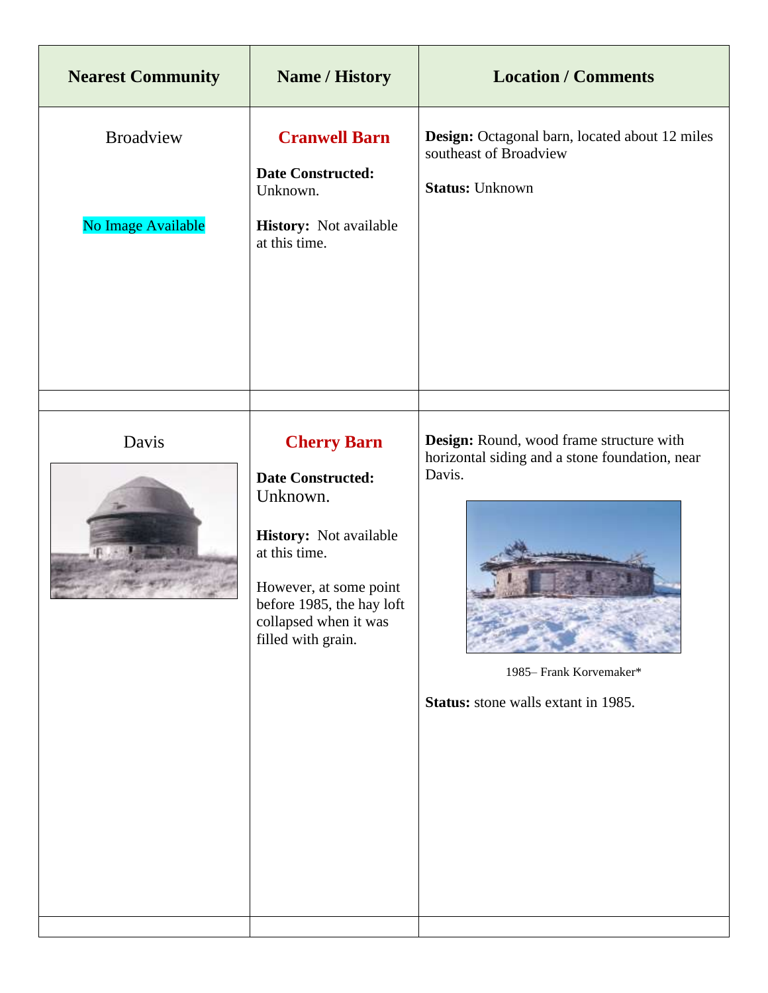| <b>Nearest Community</b>               | <b>Name / History</b>                                                                                                                                                                                       | <b>Location / Comments</b>                                                                                                                                                    |
|----------------------------------------|-------------------------------------------------------------------------------------------------------------------------------------------------------------------------------------------------------------|-------------------------------------------------------------------------------------------------------------------------------------------------------------------------------|
| <b>Broadview</b><br>No Image Available | <b>Cranwell Barn</b><br><b>Date Constructed:</b><br>Unknown.<br>History: Not available<br>at this time.                                                                                                     | Design: Octagonal barn, located about 12 miles<br>southeast of Broadview<br><b>Status: Unknown</b>                                                                            |
| Davis                                  | <b>Cherry Barn</b><br><b>Date Constructed:</b><br>Unknown.<br>History: Not available<br>at this time.<br>However, at some point<br>before 1985, the hay loft<br>collapsed when it was<br>filled with grain. | Design: Round, wood frame structure with<br>horizontal siding and a stone foundation, near<br>Davis.<br>1985– Frank Korvemaker*<br><b>Status:</b> stone walls extant in 1985. |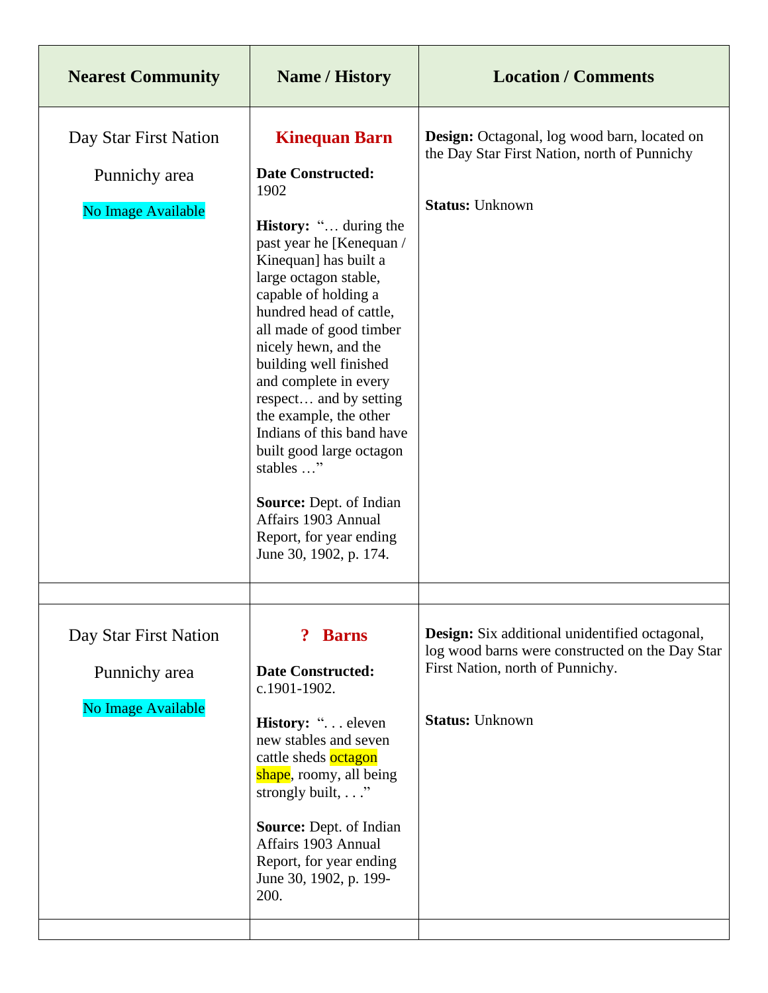| <b>Nearest Community</b>               | <b>Name / History</b>                                                                                                                                                                                                                                                                                                                                                                                                                                                                                | <b>Location / Comments</b>                                                                                                            |
|----------------------------------------|------------------------------------------------------------------------------------------------------------------------------------------------------------------------------------------------------------------------------------------------------------------------------------------------------------------------------------------------------------------------------------------------------------------------------------------------------------------------------------------------------|---------------------------------------------------------------------------------------------------------------------------------------|
| Day Star First Nation                  | <b>Kinequan Barn</b>                                                                                                                                                                                                                                                                                                                                                                                                                                                                                 | <b>Design:</b> Octagonal, log wood barn, located on<br>the Day Star First Nation, north of Punnichy                                   |
| Punnichy area                          | <b>Date Constructed:</b><br>1902                                                                                                                                                                                                                                                                                                                                                                                                                                                                     |                                                                                                                                       |
| No Image Available                     | <b>History:</b> " during the<br>past year he [Kenequan /<br>Kinequan] has built a<br>large octagon stable,<br>capable of holding a<br>hundred head of cattle,<br>all made of good timber<br>nicely hewn, and the<br>building well finished<br>and complete in every<br>respect and by setting<br>the example, the other<br>Indians of this band have<br>built good large octagon<br>stables "<br>Source: Dept. of Indian<br>Affairs 1903 Annual<br>Report, for year ending<br>June 30, 1902, p. 174. | <b>Status: Unknown</b>                                                                                                                |
|                                        |                                                                                                                                                                                                                                                                                                                                                                                                                                                                                                      |                                                                                                                                       |
| Day Star First Nation<br>Punnichy area | <b>Barns</b><br><b>Date Constructed:</b><br>c.1901-1902.                                                                                                                                                                                                                                                                                                                                                                                                                                             | Design: Six additional unidentified octagonal,<br>log wood barns were constructed on the Day Star<br>First Nation, north of Punnichy. |
| No Image Available                     | History: " eleven<br>new stables and seven<br>cattle sheds octagon<br>shape, roomy, all being<br>strongly built,"                                                                                                                                                                                                                                                                                                                                                                                    | <b>Status: Unknown</b>                                                                                                                |
|                                        | Source: Dept. of Indian<br>Affairs 1903 Annual<br>Report, for year ending<br>June 30, 1902, p. 199-<br>200.                                                                                                                                                                                                                                                                                                                                                                                          |                                                                                                                                       |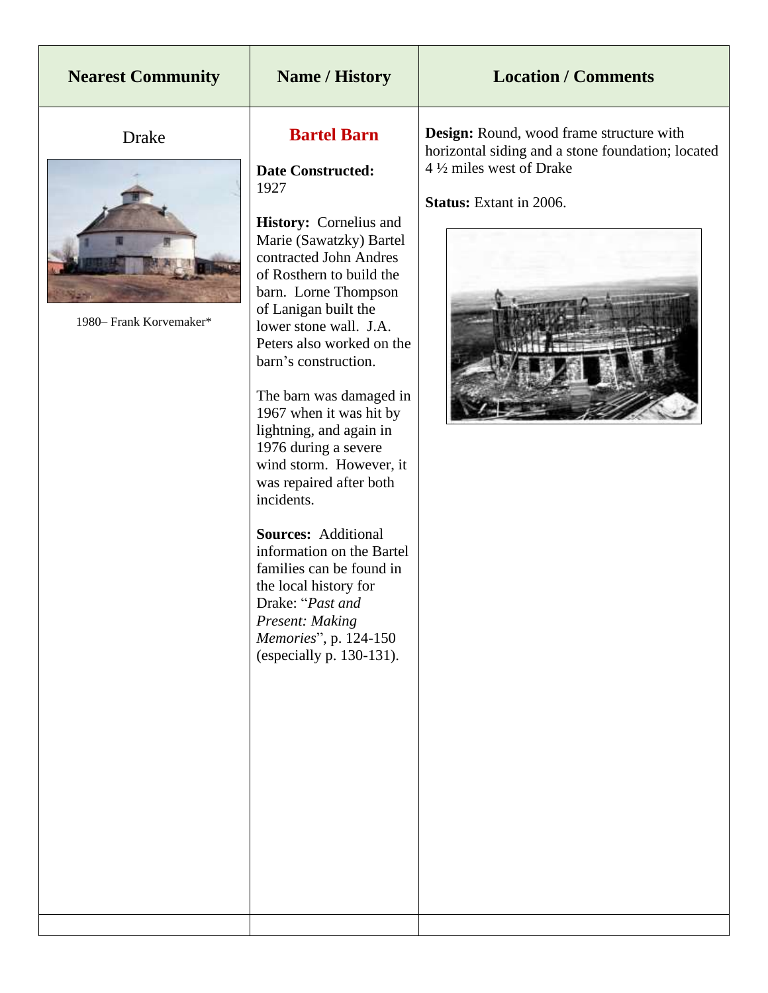### **Nearest Community Name / History Location / Comments**

Drake



1980– Frank Korvemaker\*

#### **Bartel Barn**

**Date Constructed:** 1927

**History:** Cornelius and Marie (Sawatzky) Bartel contracted John Andres of Rosthern to build the barn. Lorne Thompson of Lanigan built the lower stone wall. J.A. Peters also worked on the barn's construction.

The barn was damaged in 1967 when it was hit by lightning, and again in 1976 during a severe wind storm. However, it was repaired after both incidents.

**Sources:** Additional information on the Bartel families can be found in the local history for Drake: "*Past and Present: Making Memories*", p. 124-150 (especially p. 130-131).

**Design:** Round, wood frame structure with horizontal siding and a stone foundation; located 4 ½ miles west of Drake

**Status:** Extant in 2006.

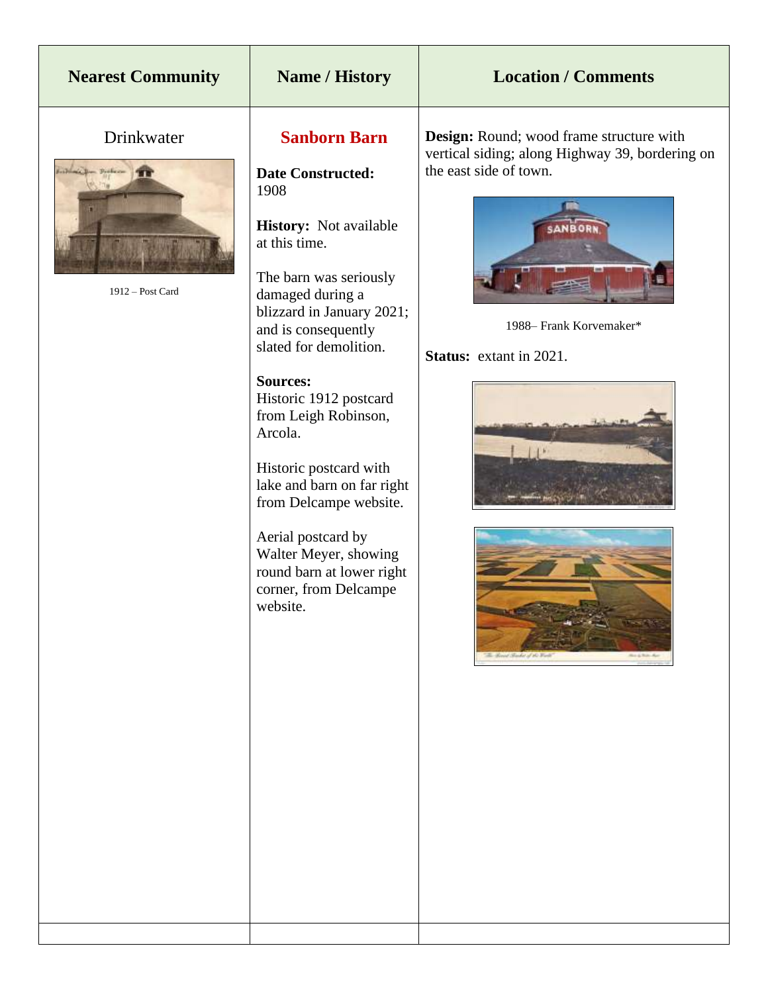### **Name / History Location / Comments**

#### Drinkwater



1912 – Post Card

#### **Sanborn Barn**

**Date Constructed:** 1908

**History:** Not available at this time.

The barn was seriously damaged during a blizzard in January 2021; and is consequently slated for demolition.

**Sources:**  Historic 1912 postcard from Leigh Robinson, Arcola.

Historic postcard with lake and barn on far right from Delcampe website.

Aerial postcard by Walter Meyer, showing round barn at lower right corner, from Delcampe website.

**Design:** Round; wood frame structure with vertical siding; along Highway 39, bordering on the east side of town.



1988– Frank Korvemaker\*

#### **Status:** extant in 2021.



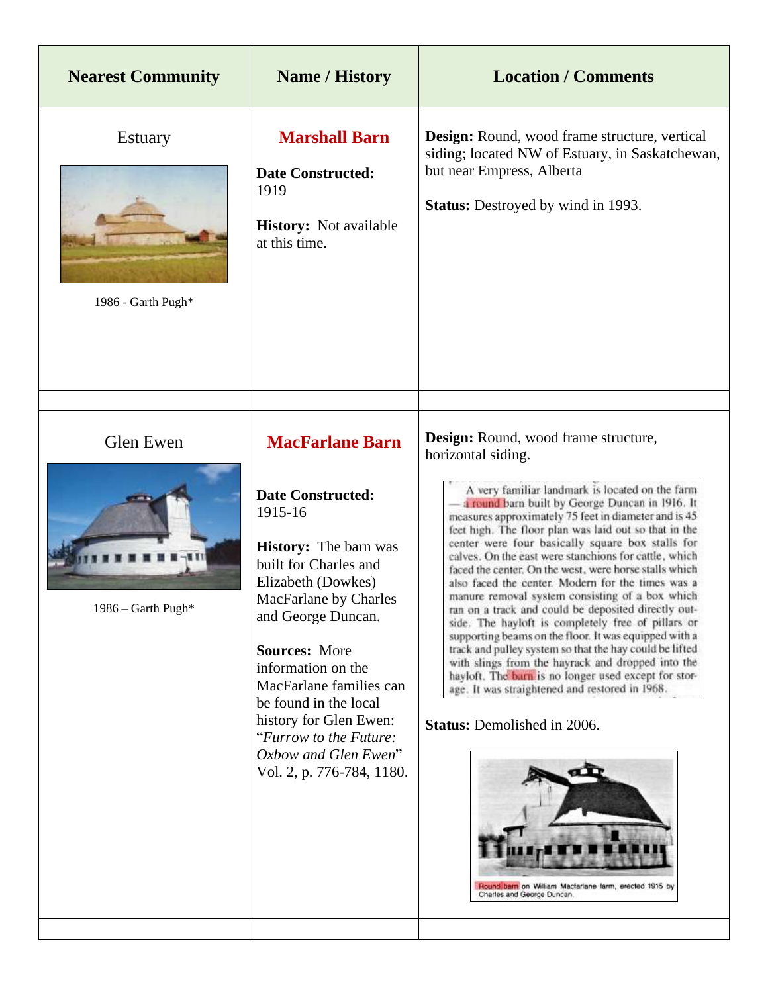| <b>Nearest Community</b>               | <b>Name / History</b>                                                                                                                                                                                                                                                                                                                                                                                  | <b>Location / Comments</b>                                                                                                                                                                                                                                                                                                                                                                                                                                                                                                                                                                                                                                                                                                                                                                                                                                                                                                                                                                                                                                                                     |
|----------------------------------------|--------------------------------------------------------------------------------------------------------------------------------------------------------------------------------------------------------------------------------------------------------------------------------------------------------------------------------------------------------------------------------------------------------|------------------------------------------------------------------------------------------------------------------------------------------------------------------------------------------------------------------------------------------------------------------------------------------------------------------------------------------------------------------------------------------------------------------------------------------------------------------------------------------------------------------------------------------------------------------------------------------------------------------------------------------------------------------------------------------------------------------------------------------------------------------------------------------------------------------------------------------------------------------------------------------------------------------------------------------------------------------------------------------------------------------------------------------------------------------------------------------------|
| <b>Estuary</b><br>1986 - Garth Pugh*   | <b>Marshall Barn</b><br><b>Date Constructed:</b><br>1919<br><b>History:</b> Not available<br>at this time.                                                                                                                                                                                                                                                                                             | Design: Round, wood frame structure, vertical<br>siding; located NW of Estuary, in Saskatchewan,<br>but near Empress, Alberta<br><b>Status:</b> Destroyed by wind in 1993.                                                                                                                                                                                                                                                                                                                                                                                                                                                                                                                                                                                                                                                                                                                                                                                                                                                                                                                     |
| <b>Glen Ewen</b><br>1986 - Garth Pugh* | <b>MacFarlane Barn</b><br><b>Date Constructed:</b><br>1915-16<br><b>History:</b> The barn was<br>built for Charles and<br>Elizabeth (Dowkes)<br>MacFarlane by Charles<br>and George Duncan.<br><b>Sources: More</b><br>information on the<br>MacFarlane families can<br>be found in the local<br>history for Glen Ewen:<br>"Furrow to the Future:<br>Oxbow and Glen Ewen"<br>Vol. 2, p. 776-784, 1180. | Design: Round, wood frame structure,<br>horizontal siding.<br>A very familiar landmark is located on the farm<br>a round barn built by George Duncan in 1916. It<br>measures approximately 75 feet in diameter and is 45<br>feet high. The floor plan was laid out so that in the<br>center were four basically square box stalls for<br>calves. On the east were stanchions for cattle, which<br>faced the center. On the west, were horse stalls which<br>also faced the center. Modern for the times was a<br>manure removal system consisting of a box which<br>ran on a track and could be deposited directly out-<br>side. The hayloft is completely free of pillars or<br>supporting beams on the floor. It was equipped with a<br>track and pulley system so that the hay could be lifted<br>with slings from the hayrack and dropped into the<br>hayloft. The barn is no longer used except for stor-<br>age. It was straightened and restored in 1968.<br><b>Status:</b> Demolished in 2006.<br>Round barn on William Macfarlane farm, erected 1915 by<br>Charles and George Duncan. |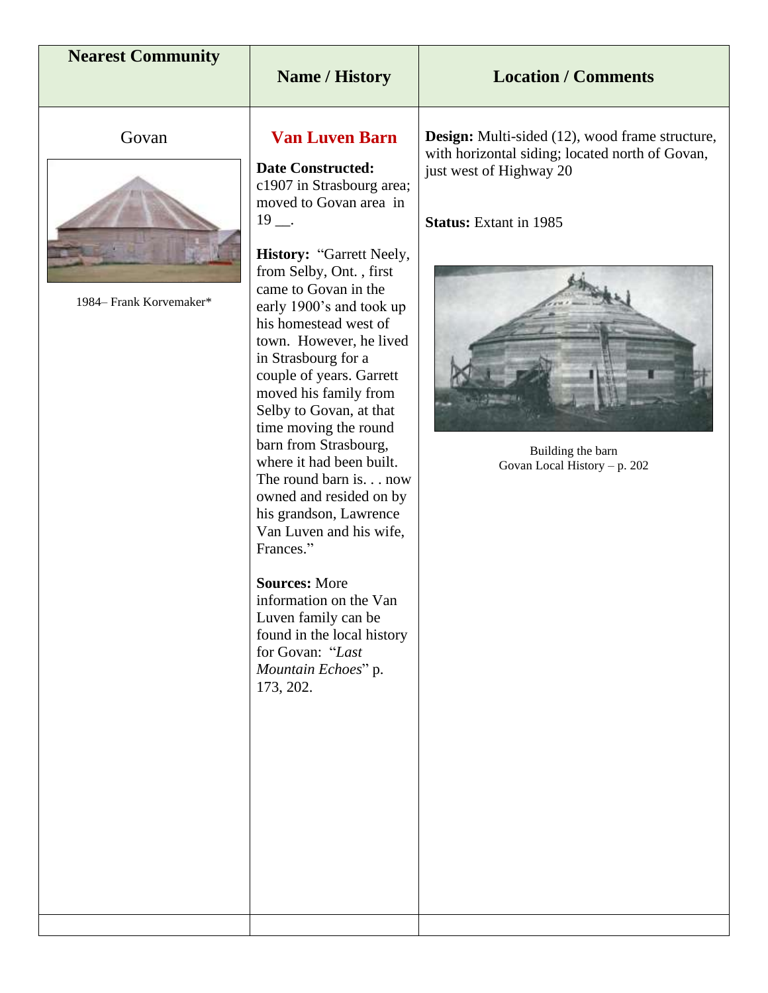| <b>Nearest Community</b> | <b>Name / History</b>                                                                                                                                                                                                                                                                                                                                                                                                                                                                                                        | <b>Location / Comments</b>                                                                                                                                       |
|--------------------------|------------------------------------------------------------------------------------------------------------------------------------------------------------------------------------------------------------------------------------------------------------------------------------------------------------------------------------------------------------------------------------------------------------------------------------------------------------------------------------------------------------------------------|------------------------------------------------------------------------------------------------------------------------------------------------------------------|
|                          |                                                                                                                                                                                                                                                                                                                                                                                                                                                                                                                              |                                                                                                                                                                  |
| Govan                    | <b>Van Luven Barn</b>                                                                                                                                                                                                                                                                                                                                                                                                                                                                                                        | <b>Design:</b> Multi-sided (12), wood frame structure,                                                                                                           |
| 1984– Frank Korvemaker*  | <b>Date Constructed:</b><br>c1907 in Strasbourg area;<br>moved to Govan area in<br>$19 -$<br>History: "Garrett Neely,<br>from Selby, Ont., first<br>came to Govan in the<br>early 1900's and took up<br>his homestead west of<br>town. However, he lived<br>in Strasbourg for a<br>couple of years. Garrett<br>moved his family from<br>Selby to Govan, at that<br>time moving the round<br>barn from Strasbourg,<br>where it had been built.<br>The round barn is. now<br>owned and resided on by<br>his grandson, Lawrence | with horizontal siding; located north of Govan,<br>just west of Highway 20<br><b>Status:</b> Extant in 1985<br>Building the barn<br>Govan Local History - p. 202 |
|                          | Van Luven and his wife,<br>Frances."<br><b>Sources: More</b><br>information on the Van<br>Luven family can be<br>found in the local history<br>for Govan: "Last<br>Mountain Echoes" p.<br>173, 202.                                                                                                                                                                                                                                                                                                                          |                                                                                                                                                                  |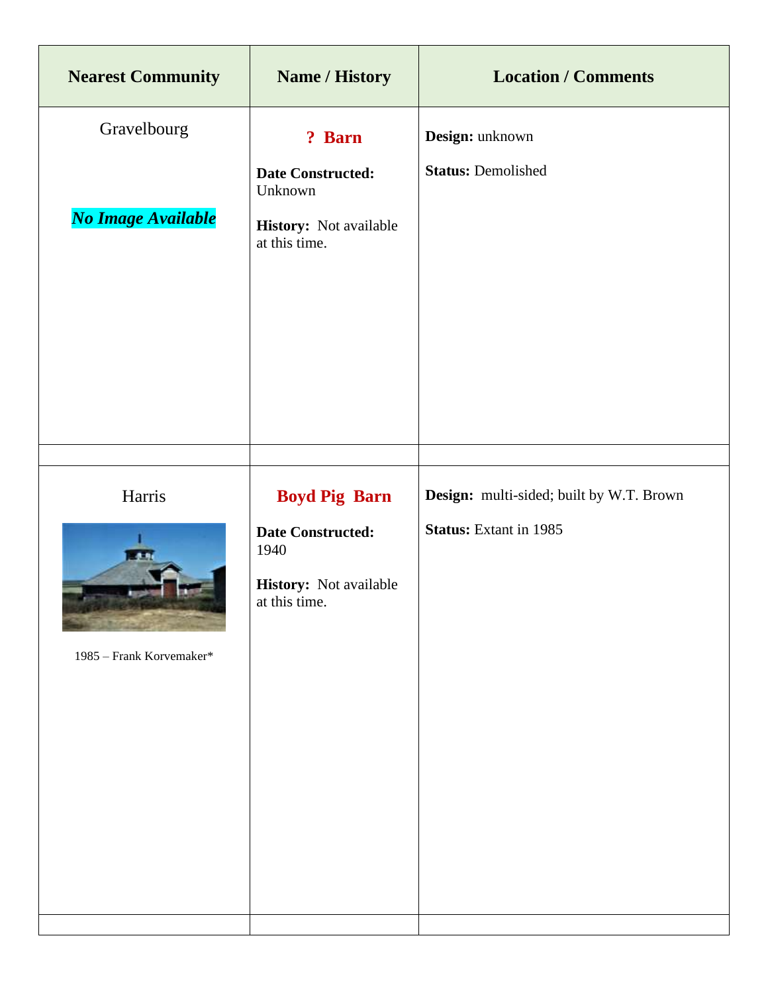| <b>Nearest Community</b> | <b>Name / History</b>                                                       | <b>Location / Comments</b>               |
|--------------------------|-----------------------------------------------------------------------------|------------------------------------------|
| Gravelbourg              | ? Barn                                                                      | Design: unknown                          |
|                          | <b>Date Constructed:</b><br>Unknown                                         | <b>Status: Demolished</b>                |
| No Image Available       | History: Not available<br>at this time.                                     |                                          |
|                          |                                                                             |                                          |
| Harris                   | <b>Boyd Pig Barn</b>                                                        | Design: multi-sided; built by W.T. Brown |
| 1985 - Frank Korvemaker* | <b>Date Constructed:</b><br>1940<br>History: Not available<br>at this time. | <b>Status:</b> Extant in 1985            |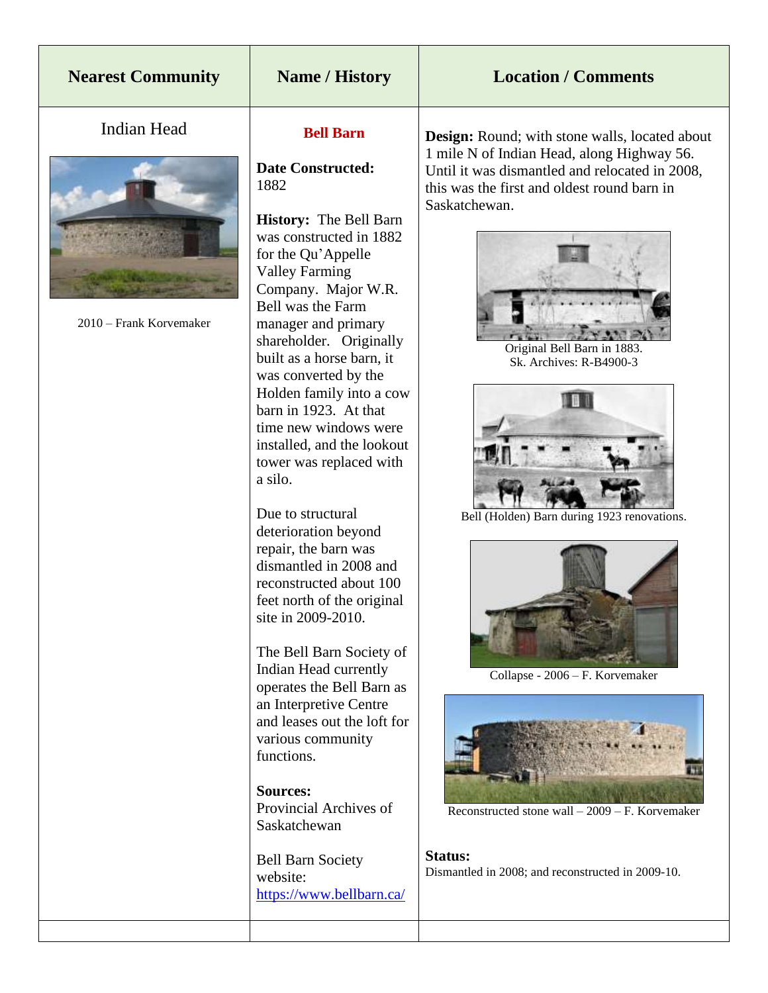### **Nearest Community Name / History Location / Comments**

#### Indian Head



2010 – Frank Korvemaker

#### **Bell Barn**

#### **Date Constructed:** 1882

**History:** The Bell Barn was constructed in 1882 for the Qu'Appelle Valley Farming Company. Major W.R. Bell was the Farm manager and primary shareholder. Originally built as a horse barn, it was converted by the Holden family into a cow barn in 1923. At that time new windows were installed, and the lookout tower was replaced with a silo.

Due to structural deterioration beyond repair, the barn was dismantled in 2008 and reconstructed about 100 feet north of the original site in 2009-2010.

The Bell Barn Society of Indian Head currently operates the Bell Barn as an Interpretive Centre and leases out the loft for various community functions.

**Sources:** Provincial Archives of Saskatchewan

Bell Barn Society website: <https://www.bellbarn.ca/> **Design:** Round; with stone walls, located about 1 mile N of Indian Head, along Highway 56. Until it was dismantled and relocated in 2008, this was the first and oldest round barn in Saskatchewan.



Original Bell Barn in 1883. Sk. Archives: R-B4900-3



Bell (Holden) Barn during 1923 renovations.



Collapse - 2006 – F. Korvemaker



Reconstructed stone wall – 2009 – F. Korvemaker

**Status:** Dismantled in 2008; and reconstructed in 2009-10.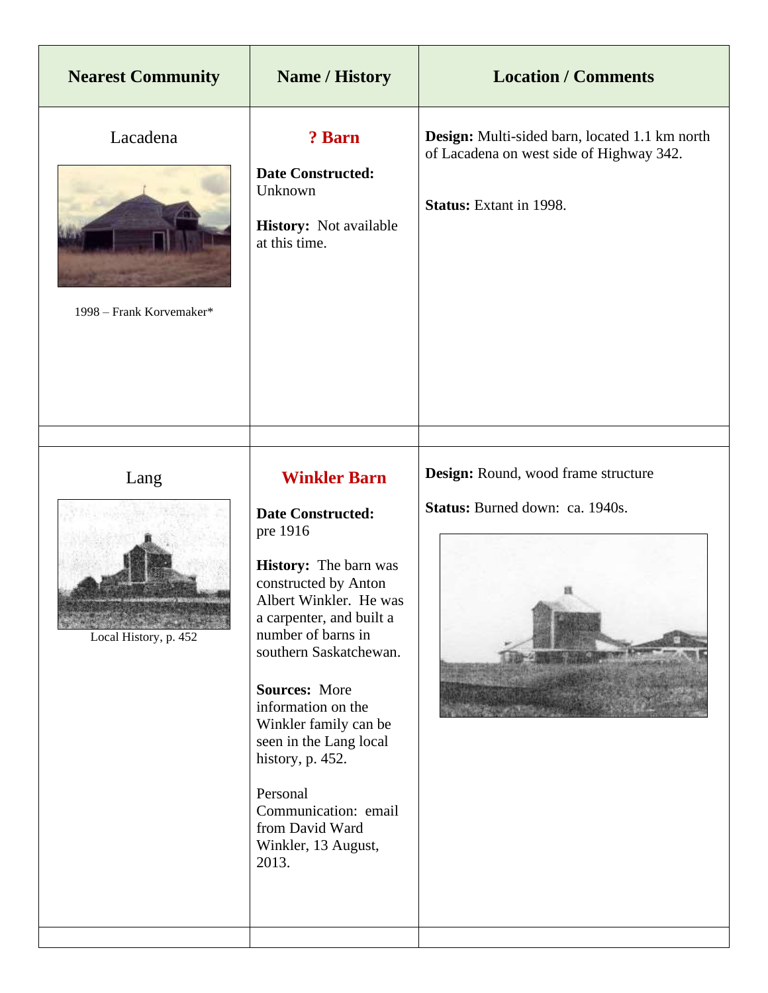| <b>Nearest Community</b>             | <b>Name / History</b>                                                                                                                                                                                                                                                                                                                                                                                                                 | <b>Location / Comments</b>                                                                                                   |
|--------------------------------------|---------------------------------------------------------------------------------------------------------------------------------------------------------------------------------------------------------------------------------------------------------------------------------------------------------------------------------------------------------------------------------------------------------------------------------------|------------------------------------------------------------------------------------------------------------------------------|
| Lacadena<br>1998 – Frank Korvemaker* | ? Barn<br><b>Date Constructed:</b><br>Unknown<br><b>History:</b> Not available<br>at this time.                                                                                                                                                                                                                                                                                                                                       | Design: Multi-sided barn, located 1.1 km north<br>of Lacadena on west side of Highway 342.<br><b>Status:</b> Extant in 1998. |
| Lang<br>Local History, p. 452        | <b>Winkler Barn</b><br><b>Date Constructed:</b><br>pre 1916<br><b>History:</b> The barn was<br>constructed by Anton<br>Albert Winkler. He was<br>a carpenter, and built a<br>number of barns in<br>southern Saskatchewan.<br><b>Sources: More</b><br>information on the<br>Winkler family can be<br>seen in the Lang local<br>history, p. 452.<br>Personal<br>Communication: email<br>from David Ward<br>Winkler, 13 August,<br>2013. | Design: Round, wood frame structure<br>Status: Burned down: ca. 1940s.                                                       |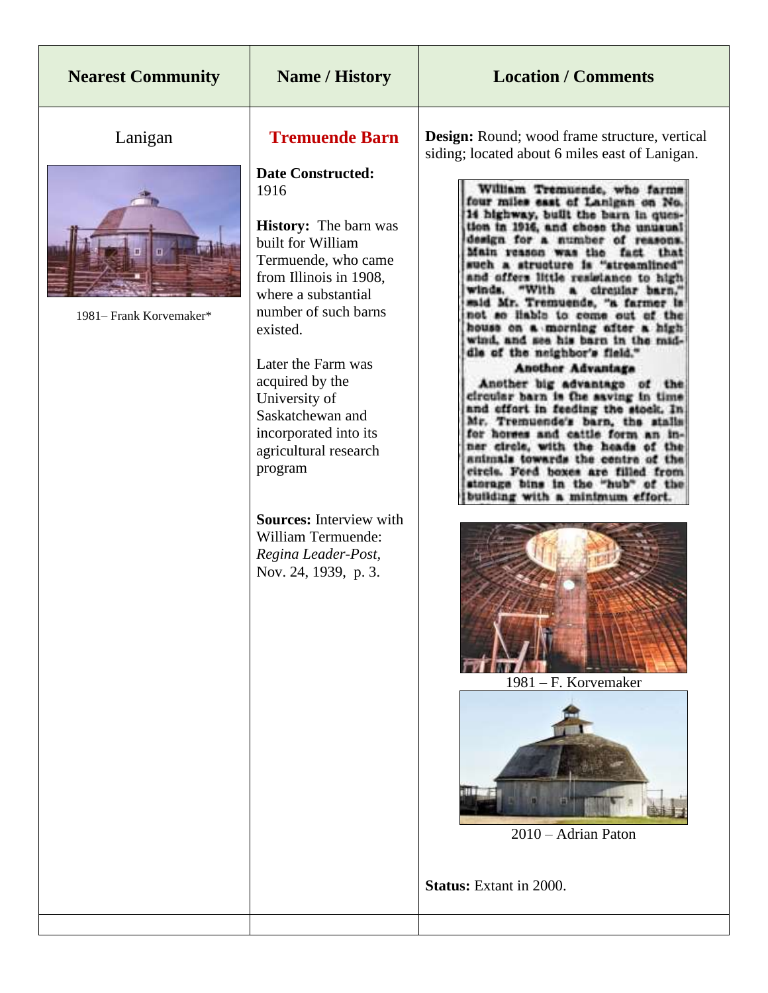| <b>Nearest Community</b>           | Name / History                                                                                                                                                                                                                                                                                                                                                                                                                                                               | <b>Location / Comments</b>                                                                                                                                                                                                                                                                                                                                                                                                                                                                                                                                                                                                                                                                                                                                                                                                                                                                                                                                                                                                                                                                                                 |
|------------------------------------|------------------------------------------------------------------------------------------------------------------------------------------------------------------------------------------------------------------------------------------------------------------------------------------------------------------------------------------------------------------------------------------------------------------------------------------------------------------------------|----------------------------------------------------------------------------------------------------------------------------------------------------------------------------------------------------------------------------------------------------------------------------------------------------------------------------------------------------------------------------------------------------------------------------------------------------------------------------------------------------------------------------------------------------------------------------------------------------------------------------------------------------------------------------------------------------------------------------------------------------------------------------------------------------------------------------------------------------------------------------------------------------------------------------------------------------------------------------------------------------------------------------------------------------------------------------------------------------------------------------|
| Lanigan<br>1981– Frank Korvemaker* | <b>Tremuende Barn</b><br><b>Date Constructed:</b><br>1916<br><b>History:</b> The barn was<br>built for William<br>Termuende, who came<br>from Illinois in 1908,<br>where a substantial<br>number of such barns<br>existed.<br>Later the Farm was<br>acquired by the<br>University of<br>Saskatchewan and<br>incorporated into its<br>agricultural research<br>program<br><b>Sources:</b> Interview with<br>William Termuende:<br>Regina Leader-Post,<br>Nov. 24, 1939, p. 3. | <b>Design:</b> Round; wood frame structure, vertical<br>siding; located about 6 miles east of Lanigan.<br>William Tremuende, who farms<br>four miles east of Lanigan on No.<br>14 highway, built the barn in ques-<br>tion in 1916, and chose the unusual<br>design for a number of reasons.<br>Main reason was the fact that<br>a structure is "streamlined"<br>and offers little resistance to high<br>winds.<br>a circular barn,"<br>"With<br>said Mr. Tremuends, "a farmer is<br>not so liable to come out of the<br>house on a morning after a high<br>wind, and see his barn in the mid-<br>dle of the neighbor's field."<br><b>Another Advantage</b><br>Another big advantage of the<br>circular barn is the saving in time<br>and effort in feeding the stock. In<br>Mr. Tremuende's barn, the stalls<br>for horses and cattle form an in-<br>ner circle, with the heads of the<br>animals towards the centre of the<br>circle. Feed boxes are filled from<br>storage bins in the "hub" of the<br>building with a minimum effort.<br>1981 – F. Korvemaker<br>2010 - Adrian Paton<br><b>Status:</b> Extant in 2000. |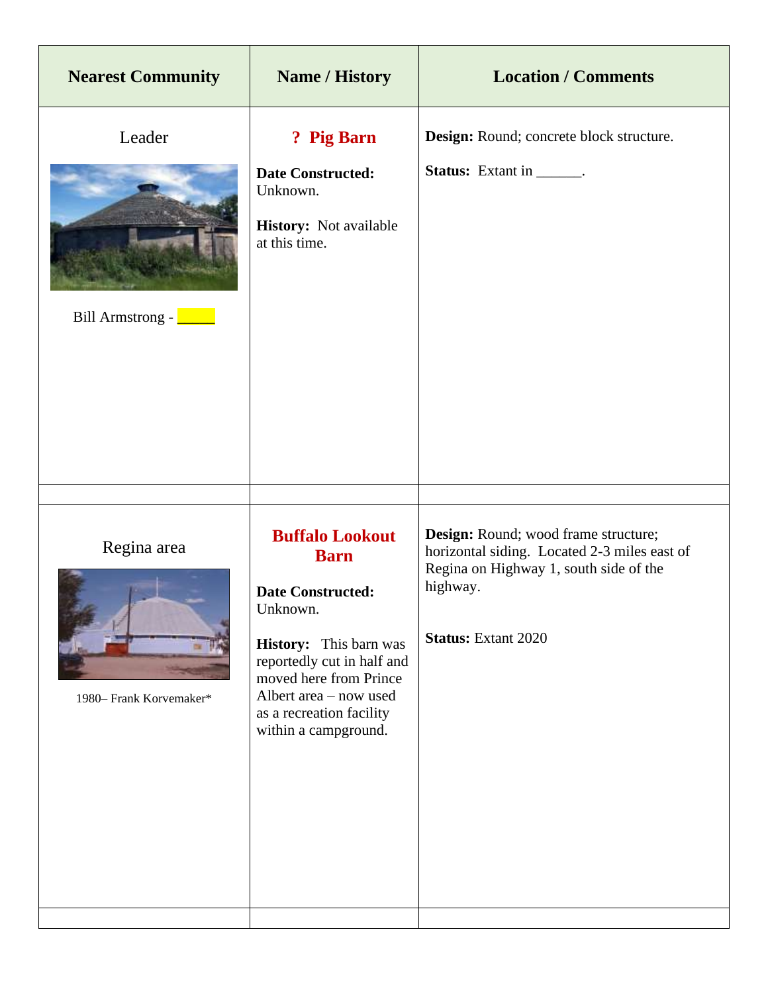| <b>Nearest Community</b>                     | <b>Name / History</b>                                                                                                                                                                                                                         | <b>Location / Comments</b>                                                                                                                                               |
|----------------------------------------------|-----------------------------------------------------------------------------------------------------------------------------------------------------------------------------------------------------------------------------------------------|--------------------------------------------------------------------------------------------------------------------------------------------------------------------------|
| Leader<br>Bill Armstrong - <u>New York 1</u> | ? Pig Barn<br><b>Date Constructed:</b><br>Unknown.<br>History: Not available<br>at this time.                                                                                                                                                 | Design: Round; concrete block structure.<br><b>Status:</b> Extant in _______.                                                                                            |
| Regina area<br>1980– Frank Korvemaker*       | <b>Buffalo Lookout</b><br><b>Barn</b><br><b>Date Constructed:</b><br>Unknown.<br>History: This barn was<br>reportedly cut in half and<br>moved here from Prince<br>Albert area - now used<br>as a recreation facility<br>within a campground. | Design: Round; wood frame structure;<br>horizontal siding. Located 2-3 miles east of<br>Regina on Highway 1, south side of the<br>highway.<br><b>Status:</b> Extant 2020 |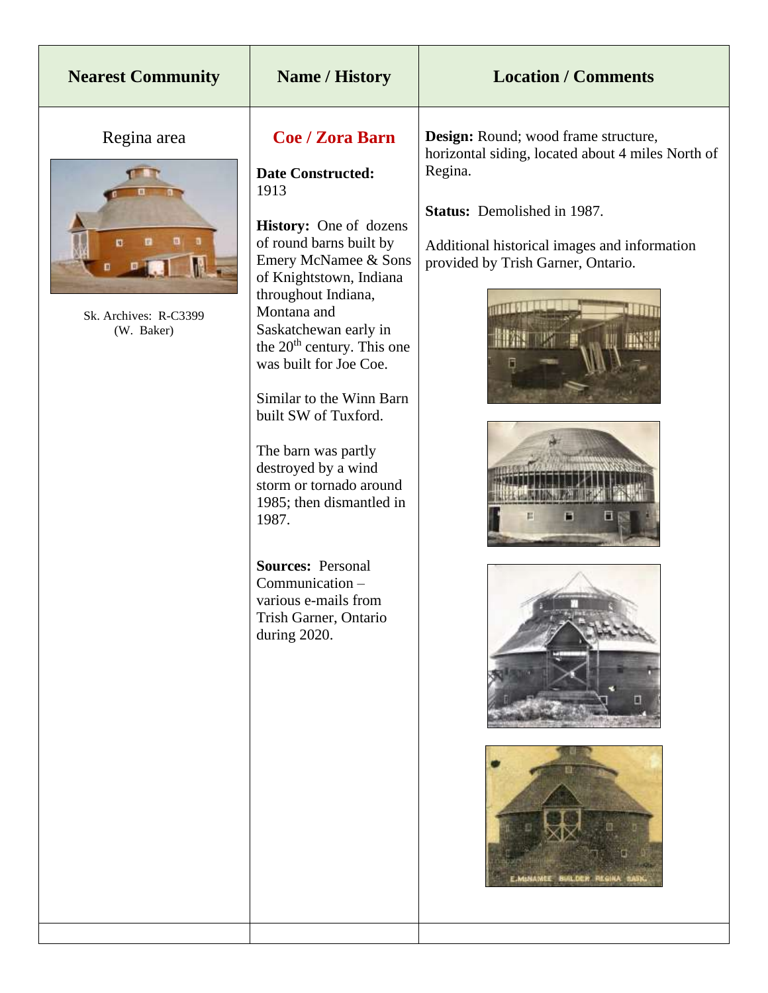| <b>Nearest Community</b>                                | <b>Name / History</b>                                                                                                                                                                                                                                                                                                                                                                                                                                                                                                                                                                   | <b>Location / Comments</b>                                                                                                                                                                                                                                          |
|---------------------------------------------------------|-----------------------------------------------------------------------------------------------------------------------------------------------------------------------------------------------------------------------------------------------------------------------------------------------------------------------------------------------------------------------------------------------------------------------------------------------------------------------------------------------------------------------------------------------------------------------------------------|---------------------------------------------------------------------------------------------------------------------------------------------------------------------------------------------------------------------------------------------------------------------|
| Regina area<br>п<br>Sk. Archives: R-C3399<br>(W. Baker) | <b>Coe / Zora Barn</b><br><b>Date Constructed:</b><br>1913<br>History: One of dozens<br>of round barns built by<br>Emery McNamee & Sons<br>of Knightstown, Indiana<br>throughout Indiana,<br>Montana and<br>Saskatchewan early in<br>the 20 <sup>th</sup> century. This one<br>was built for Joe Coe.<br>Similar to the Winn Barn<br>built SW of Tuxford.<br>The barn was partly<br>destroyed by a wind<br>storm or tornado around<br>1985; then dismantled in<br>1987.<br><b>Sources: Personal</b><br>Communication -<br>various e-mails from<br>Trish Garner, Ontario<br>during 2020. | Design: Round; wood frame structure,<br>horizontal siding, located about 4 miles North of<br>Regina.<br>Status: Demolished in 1987.<br>Additional historical images and information<br>provided by Trish Garner, Ontario.<br>Ħ<br>Е<br>E.MINAMEE BUILDER REGINA SAS |
|                                                         |                                                                                                                                                                                                                                                                                                                                                                                                                                                                                                                                                                                         |                                                                                                                                                                                                                                                                     |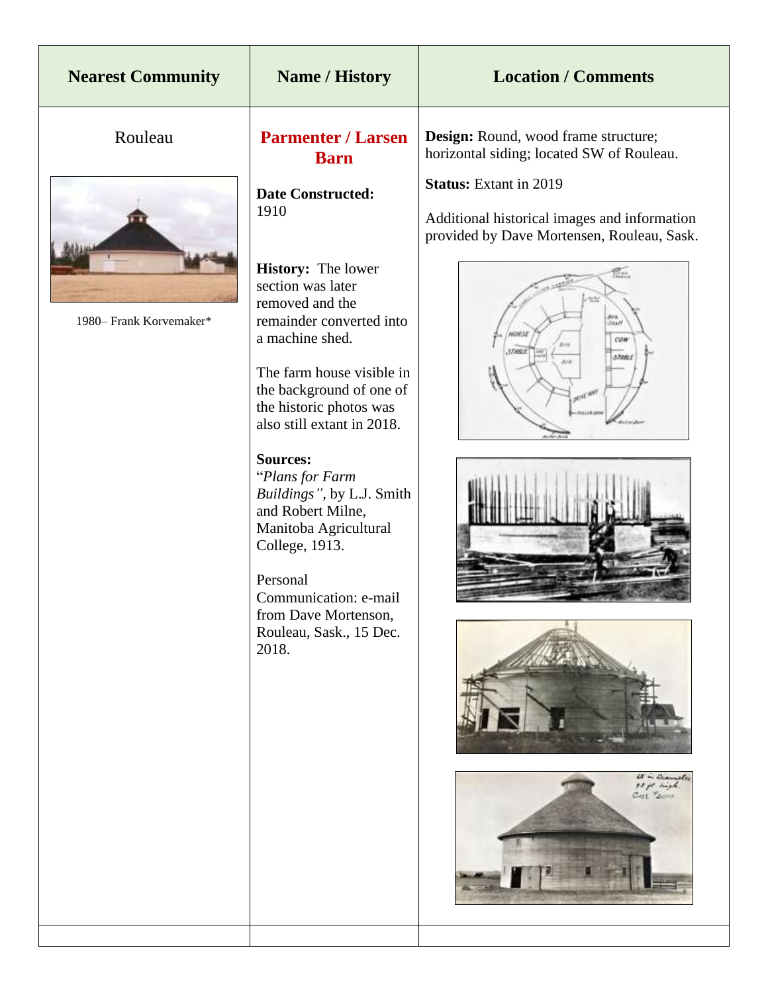| <b>Nearest Community</b> | <b>Name / History</b>                                                                                                                                                                                                                                                                                                                                                                                                                                                                                      | <b>Location / Comments</b>                                                                                                                                                                                         |
|--------------------------|------------------------------------------------------------------------------------------------------------------------------------------------------------------------------------------------------------------------------------------------------------------------------------------------------------------------------------------------------------------------------------------------------------------------------------------------------------------------------------------------------------|--------------------------------------------------------------------------------------------------------------------------------------------------------------------------------------------------------------------|
| Rouleau                  | <b>Parmenter / Larsen</b><br><b>Barn</b>                                                                                                                                                                                                                                                                                                                                                                                                                                                                   | Design: Round, wood frame structure;<br>horizontal siding; located SW of Rouleau.                                                                                                                                  |
| 1980– Frank Korvemaker*  | <b>Date Constructed:</b><br>1910<br><b>History:</b> The lower<br>section was later<br>removed and the<br>remainder converted into<br>a machine shed.<br>The farm house visible in<br>the background of one of<br>the historic photos was<br>also still extant in 2018.<br><b>Sources:</b><br>"Plans for Farm<br>Buildings", by L.J. Smith<br>and Robert Milne,<br>Manitoba Agricultural<br>College, 1913.<br>Personal<br>Communication: e-mail<br>from Dave Mortenson,<br>Rouleau, Sask., 15 Dec.<br>2018. | <b>Status:</b> Extant in 2019<br>Additional historical images and information<br>provided by Dave Mortensen, Rouleau, Sask.<br>É.<br>Stall<br>WOHLTE<br>COW<br>3.TABL<br>60 in Dramole<br>93 ft high.<br>Cast Long |
|                          |                                                                                                                                                                                                                                                                                                                                                                                                                                                                                                            |                                                                                                                                                                                                                    |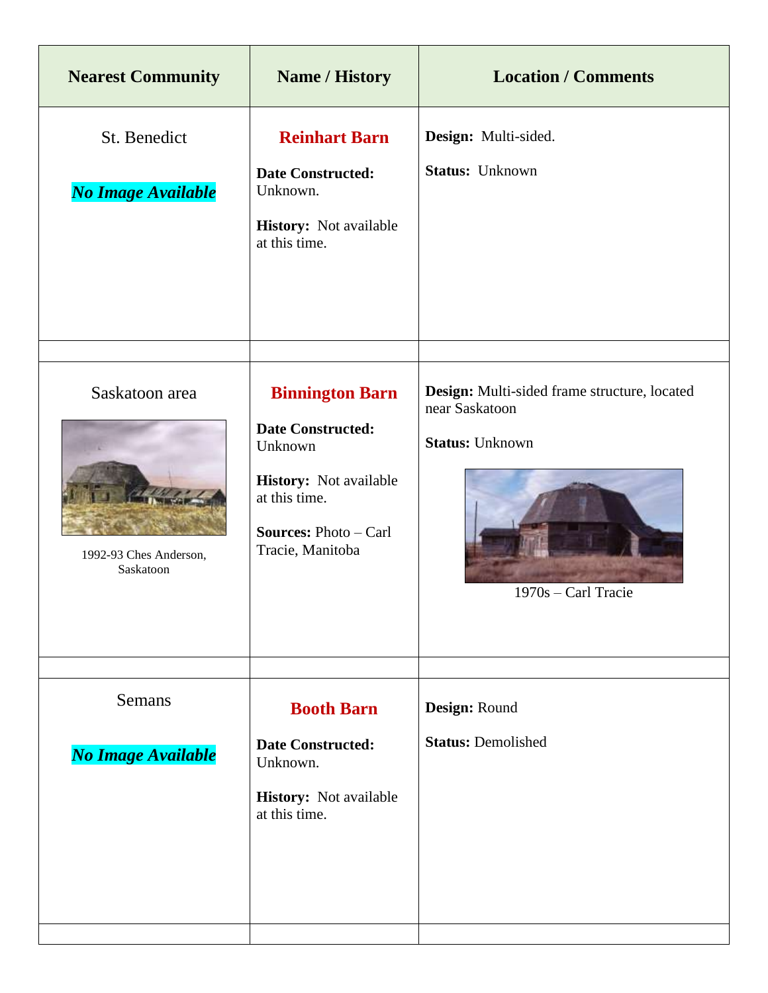| <b>Nearest Community</b>                              | <b>Name / History</b>                                                                                                                                        | <b>Location / Comments</b>                                                                                       |
|-------------------------------------------------------|--------------------------------------------------------------------------------------------------------------------------------------------------------------|------------------------------------------------------------------------------------------------------------------|
| St. Benedict<br>No Image Available                    | <b>Reinhart Barn</b><br><b>Date Constructed:</b><br>Unknown.<br>History: Not available<br>at this time.                                                      | Design: Multi-sided.<br><b>Status: Unknown</b>                                                                   |
| Saskatoon area<br>1992-93 Ches Anderson,<br>Saskatoon | <b>Binnington Barn</b><br><b>Date Constructed:</b><br>Unknown<br>History: Not available<br>at this time.<br><b>Sources: Photo - Carl</b><br>Tracie, Manitoba | Design: Multi-sided frame structure, located<br>near Saskatoon<br><b>Status: Unknown</b><br>$1970s - Carl Trace$ |
| <b>Semans</b><br>No Image Available                   | <b>Booth Barn</b><br><b>Date Constructed:</b><br>Unknown.<br><b>History:</b> Not available<br>at this time.                                                  | Design: Round<br><b>Status: Demolished</b>                                                                       |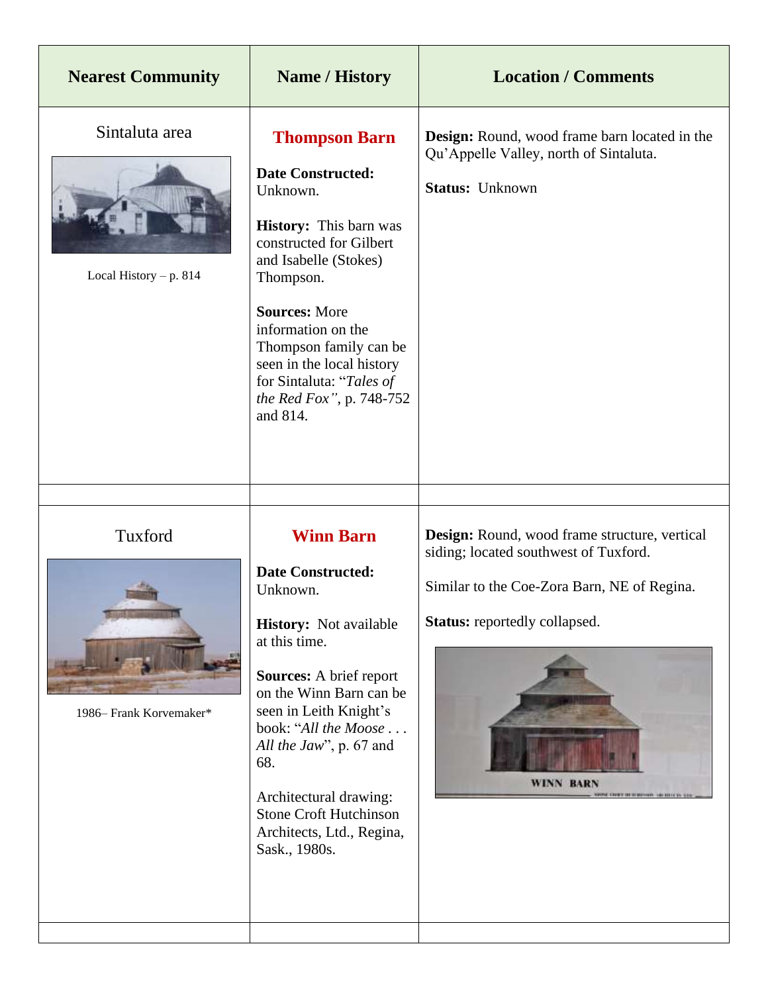| <b>Nearest Community</b>                   | <b>Name / History</b>                                                                                                                                                                                                                                                                                                                                                | <b>Location / Comments</b>                                                                                                                                                                                                                   |
|--------------------------------------------|----------------------------------------------------------------------------------------------------------------------------------------------------------------------------------------------------------------------------------------------------------------------------------------------------------------------------------------------------------------------|----------------------------------------------------------------------------------------------------------------------------------------------------------------------------------------------------------------------------------------------|
| Sintaluta area<br>Local History $- p. 814$ | <b>Thompson Barn</b><br><b>Date Constructed:</b><br>Unknown.<br><b>History:</b> This barn was<br>constructed for Gilbert<br>and Isabelle (Stokes)<br>Thompson.<br><b>Sources: More</b><br>information on the<br>Thompson family can be<br>seen in the local history<br>for Sintaluta: "Tales of<br>the Red Fox", p. 748-752<br>and 814.                              | <b>Design:</b> Round, wood frame barn located in the<br>Qu'Appelle Valley, north of Sintaluta.<br><b>Status: Unknown</b>                                                                                                                     |
|                                            |                                                                                                                                                                                                                                                                                                                                                                      |                                                                                                                                                                                                                                              |
| Tuxford<br>1986– Frank Korvemaker*         | <b>Winn Barn</b><br><b>Date Constructed:</b><br>Unknown.<br><b>History:</b> Not available<br>at this time.<br><b>Sources:</b> A brief report<br>on the Winn Barn can be<br>seen in Leith Knight's<br>book: "All the Moose<br>All the Jaw", p. 67 and<br>68.<br>Architectural drawing:<br><b>Stone Croft Hutchinson</b><br>Architects, Ltd., Regina,<br>Sask., 1980s. | Design: Round, wood frame structure, vertical<br>siding; located southwest of Tuxford.<br>Similar to the Coe-Zora Barn, NE of Regina.<br><b>Status:</b> reportedly collapsed.<br><b>WINN BARN</b><br>NICHE EINER SEIN BEHAND, GETEHET IN GER |